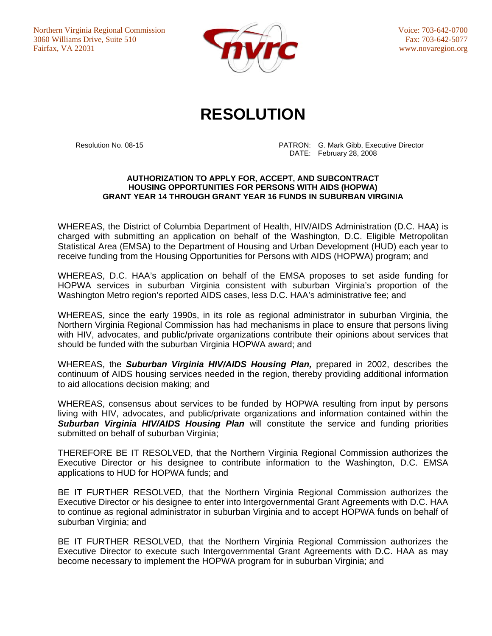Northern Virginia Regional Commission 3060 Williams Drive, Suite 510 Fairfax, VA 22031



Voice: 703-642-0700 Fax: 703-642-5077 www.novaregion.org

## **RESOLUTION**

 Resolution No. 08-15 PATRON: G. Mark Gibb, Executive Director DATE: February 28, 2008

## **AUTHORIZATION TO APPLY FOR, ACCEPT, AND SUBCONTRACT HOUSING OPPORTUNITIES FOR PERSONS WITH AIDS (HOPWA) GRANT YEAR 14 THROUGH GRANT YEAR 16 FUNDS IN SUBURBAN VIRGINIA**

WHEREAS, the District of Columbia Department of Health, HIV/AIDS Administration (D.C. HAA) is charged with submitting an application on behalf of the Washington, D.C. Eligible Metropolitan Statistical Area (EMSA) to the Department of Housing and Urban Development (HUD) each year to receive funding from the Housing Opportunities for Persons with AIDS (HOPWA) program; and

WHEREAS, D.C. HAA's application on behalf of the EMSA proposes to set aside funding for HOPWA services in suburban Virginia consistent with suburban Virginia's proportion of the Washington Metro region's reported AIDS cases, less D.C. HAA's administrative fee; and

WHEREAS, since the early 1990s, in its role as regional administrator in suburban Virginia, the Northern Virginia Regional Commission has had mechanisms in place to ensure that persons living with HIV, advocates, and public/private organizations contribute their opinions about services that should be funded with the suburban Virginia HOPWA award; and

WHEREAS, the *Suburban Virginia HIV/AIDS Housing Plan,* prepared in 2002, describes the continuum of AIDS housing services needed in the region, thereby providing additional information to aid allocations decision making; and

WHEREAS, consensus about services to be funded by HOPWA resulting from input by persons living with HIV, advocates, and public/private organizations and information contained within the *Suburban Virginia HIV/AIDS Housing Plan* will constitute the service and funding priorities submitted on behalf of suburban Virginia;

THEREFORE BE IT RESOLVED, that the Northern Virginia Regional Commission authorizes the Executive Director or his designee to contribute information to the Washington, D.C. EMSA applications to HUD for HOPWA funds; and

BE IT FURTHER RESOLVED, that the Northern Virginia Regional Commission authorizes the Executive Director or his designee to enter into Intergovernmental Grant Agreements with D.C. HAA to continue as regional administrator in suburban Virginia and to accept HOPWA funds on behalf of suburban Virginia; and

BE IT FURTHER RESOLVED, that the Northern Virginia Regional Commission authorizes the Executive Director to execute such Intergovernmental Grant Agreements with D.C. HAA as may become necessary to implement the HOPWA program for in suburban Virginia; and